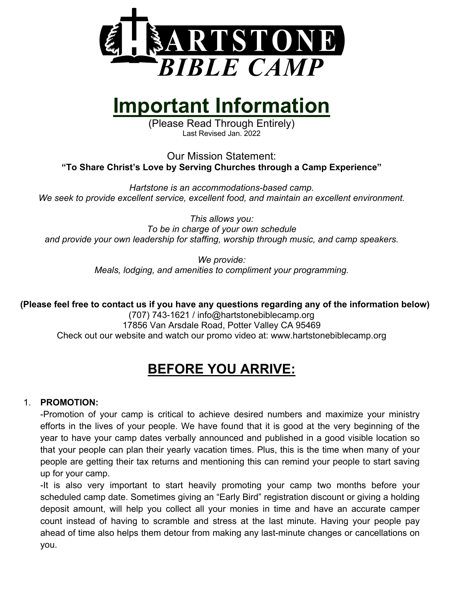

# **Important Information**

(Please Read Through Entirely) Last Revised Jan. 2022

Our Mission Statement: **"To Share Christ's Love by Serving Churches through a Camp Experience"**

*Hartstone is an accommodations-based camp. We seek to provide excellent service, excellent food, and maintain an excellent environment.*

*This allows you: To be in charge of your own schedule and provide your own leadership for staffing, worship through music, and camp speakers.*

> *We provide: Meals, lodging, and amenities to compliment your programming.*

**(Please feel free to contact us if you have any questions regarding any of the information below)**

(707) 743-1621 / info@hartstonebiblecamp.org 17856 Van Arsdale Road, Potter Valley CA 95469 Check out our website and watch our promo video at: www.hartstonebiblecamp.org

# **BEFORE YOU ARRIVE:**

# 1. **PROMOTION:**

-Promotion of your camp is critical to achieve desired numbers and maximize your ministry efforts in the lives of your people. We have found that it is good at the very beginning of the year to have your camp dates verbally announced and published in a good visible location so that your people can plan their yearly vacation times. Plus, this is the time when many of your people are getting their tax returns and mentioning this can remind your people to start saving up for your camp.

-It is also very important to start heavily promoting your camp two months before your scheduled camp date. Sometimes giving an "Early Bird" registration discount or giving a holding deposit amount, will help you collect all your monies in time and have an accurate camper count instead of having to scramble and stress at the last minute. Having your people pay ahead of time also helps them detour from making any last-minute changes or cancellations on you.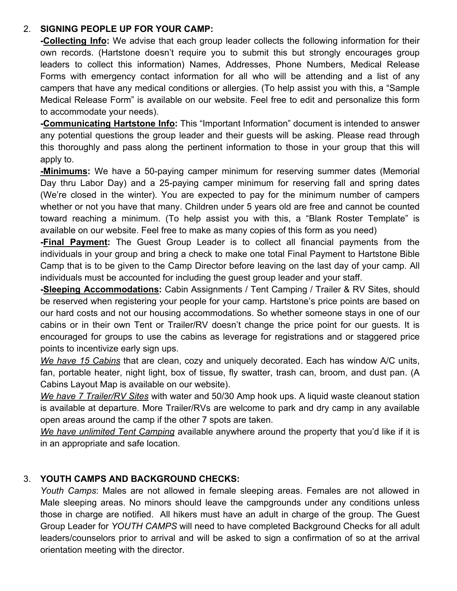# 2. **SIGNING PEOPLE UP FOR YOUR CAMP:**

**-Collecting Info:** We advise that each group leader collects the following information for their own records. (Hartstone doesn't require you to submit this but strongly encourages group leaders to collect this information) Names, Addresses, Phone Numbers, Medical Release Forms with emergency contact information for all who will be attending and a list of any campers that have any medical conditions or allergies. (To help assist you with this, a "Sample Medical Release Form" is available on our website. Feel free to edit and personalize this form to accommodate your needs).

**-Communicating Hartstone Info:** This "Important Information" document is intended to answer any potential questions the group leader and their guests will be asking. Please read through this thoroughly and pass along the pertinent information to those in your group that this will apply to.

**-Minimums:** We have a 50-paying camper minimum for reserving summer dates (Memorial Day thru Labor Day) and a 25-paying camper minimum for reserving fall and spring dates (We're closed in the winter). You are expected to pay for the minimum number of campers whether or not you have that many. Children under 5 years old are free and cannot be counted toward reaching a minimum. (To help assist you with this, a "Blank Roster Template" is available on our website. Feel free to make as many copies of this form as you need)

**-Final Payment:** The Guest Group Leader is to collect all financial payments from the individuals in your group and bring a check to make one total Final Payment to Hartstone Bible Camp that is to be given to the Camp Director before leaving on the last day of your camp. All individuals must be accounted for including the guest group leader and your staff.

**-Sleeping Accommodations:** Cabin Assignments / Tent Camping / Trailer & RV Sites, should be reserved when registering your people for your camp. Hartstone's price points are based on our hard costs and not our housing accommodations. So whether someone stays in one of our cabins or in their own Tent or Trailer/RV doesn't change the price point for our guests. It is encouraged for groups to use the cabins as leverage for registrations and or staggered price points to incentivize early sign ups.

*We have 15 Cabins* that are clean, cozy and uniquely decorated. Each has window A/C units, fan, portable heater, night light, box of tissue, fly swatter, trash can, broom, and dust pan. (A Cabins Layout Map is available on our website).

*We have 7 Trailer/RV Sites* with water and 50/30 Amp hook ups. A liquid waste cleanout station is available at departure. More Trailer/RVs are welcome to park and dry camp in any available open areas around the camp if the other 7 spots are taken.

*We have unlimited Tent Camping* available anywhere around the property that you'd like if it is in an appropriate and safe location.

# 3. **YOUTH CAMPS AND BACKGROUND CHECKS:**

*Youth Camps*: Males are not allowed in female sleeping areas. Females are not allowed in Male sleeping areas. No minors should leave the campgrounds under any conditions unless those in charge are notified. All hikers must have an adult in charge of the group. The Guest Group Leader for *YOUTH CAMPS* will need to have completed Background Checks for all adult leaders/counselors prior to arrival and will be asked to sign a confirmation of so at the arrival orientation meeting with the director.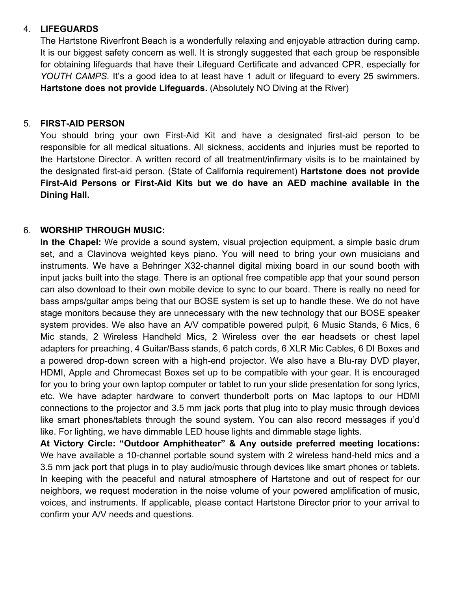# 4. **LIFEGUARDS**

The Hartstone Riverfront Beach is a wonderfully relaxing and enjoyable attraction during camp. It is our biggest safety concern as well. It is strongly suggested that each group be responsible for obtaining lifeguards that have their Lifeguard Certificate and advanced CPR, especially for *YOUTH CAMPS.* It's a good idea to at least have 1 adult or lifeguard to every 25 swimmers. **Hartstone does not provide Lifeguards.** (Absolutely NO Diving at the River)

# 5. **FIRST-AID PERSON**

You should bring your own First-Aid Kit and have a designated first-aid person to be responsible for all medical situations. All sickness, accidents and injuries must be reported to the Hartstone Director. A written record of all treatment/infirmary visits is to be maintained by the designated first-aid person. (State of California requirement) **Hartstone does not provide First-Aid Persons or First-Aid Kits but we do have an AED machine available in the Dining Hall.**

# 6. **WORSHIP THROUGH MUSIC:**

**In the Chapel:** We provide a sound system, visual projection equipment, a simple basic drum set, and a Clavinova weighted keys piano. You will need to bring your own musicians and instruments. We have a Behringer X32-channel digital mixing board in our sound booth with input jacks built into the stage. There is an optional free compatible app that your sound person can also download to their own mobile device to sync to our board. There is really no need for bass amps/guitar amps being that our BOSE system is set up to handle these. We do not have stage monitors because they are unnecessary with the new technology that our BOSE speaker system provides. We also have an A/V compatible powered pulpit, 6 Music Stands, 6 Mics, 6 Mic stands, 2 Wireless Handheld Mics, 2 Wireless over the ear headsets or chest lapel adapters for preaching, 4 Guitar/Bass stands, 6 patch cords, 6 XLR Mic Cables, 6 DI Boxes and a powered drop-down screen with a high-end projector. We also have a Blu-ray DVD player, HDMI, Apple and Chromecast Boxes set up to be compatible with your gear. It is encouraged for you to bring your own laptop computer or tablet to run your slide presentation for song lyrics, etc. We have adapter hardware to convert thunderbolt ports on Mac laptops to our HDMI connections to the projector and 3.5 mm jack ports that plug into to play music through devices like smart phones/tablets through the sound system. You can also record messages if you'd like. For lighting, we have dimmable LED house lights and dimmable stage lights.

**At Victory Circle: "Outdoor Amphitheater" & Any outside preferred meeting locations:** We have available a 10-channel portable sound system with 2 wireless hand-held mics and a 3.5 mm jack port that plugs in to play audio/music through devices like smart phones or tablets. In keeping with the peaceful and natural atmosphere of Hartstone and out of respect for our neighbors, we request moderation in the noise volume of your powered amplification of music, voices, and instruments. If applicable, please contact Hartstone Director prior to your arrival to confirm your A/V needs and questions.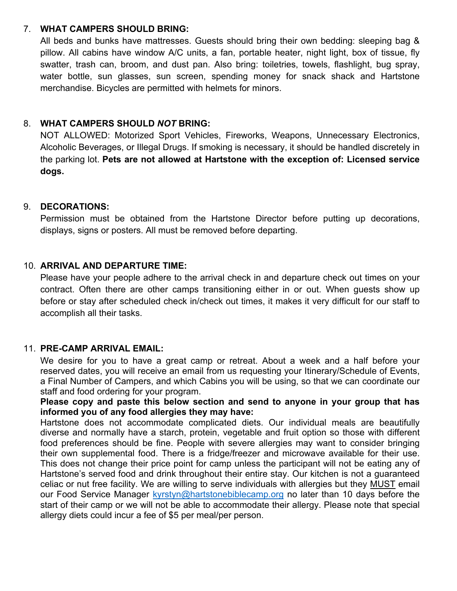#### 7. **WHAT CAMPERS SHOULD BRING:**

All beds and bunks have mattresses. Guests should bring their own bedding: sleeping bag & pillow. All cabins have window A/C units, a fan, portable heater, night light, box of tissue, fly swatter, trash can, broom, and dust pan. Also bring: toiletries, towels, flashlight, bug spray, water bottle, sun glasses, sun screen, spending money for snack shack and Hartstone merchandise. Bicycles are permitted with helmets for minors.

# 8. **WHAT CAMPERS SHOULD** *NOT* **BRING:**

NOT ALLOWED: Motorized Sport Vehicles, Fireworks, Weapons, Unnecessary Electronics, Alcoholic Beverages, or Illegal Drugs. If smoking is necessary, it should be handled discretely in the parking lot. **Pets are not allowed at Hartstone with the exception of: Licensed service dogs.**

#### 9. **DECORATIONS:**

Permission must be obtained from the Hartstone Director before putting up decorations, displays, signs or posters. All must be removed before departing.

#### 10. **ARRIVAL AND DEPARTURE TIME:**

Please have your people adhere to the arrival check in and departure check out times on your contract. Often there are other camps transitioning either in or out. When guests show up before or stay after scheduled check in/check out times, it makes it very difficult for our staff to accomplish all their tasks.

# 11. **PRE-CAMP ARRIVAL EMAIL:**

We desire for you to have a great camp or retreat. About a week and a half before your reserved dates, you will receive an email from us requesting your Itinerary/Schedule of Events, a Final Number of Campers, and which Cabins you will be using, so that we can coordinate our staff and food ordering for your program.

**Please copy and paste this below section and send to anyone in your group that has informed you of any food allergies they may have:**

Hartstone does not accommodate complicated diets. Our individual meals are beautifully diverse and normally have a starch, protein, vegetable and fruit option so those with different food preferences should be fine. People with severe allergies may want to consider bringing their own supplemental food. There is a fridge/freezer and microwave available for their use. This does not change their price point for camp unless the participant will not be eating any of Hartstone's served food and drink throughout their entire stay. Our kitchen is not a guaranteed celiac or nut free facility. We are willing to serve individuals with allergies but they MUST email our Food Service Manager kyrstyn@hartstonebiblecamp.org no later than 10 days before the start of their camp or we will not be able to accommodate their allergy. Please note that special allergy diets could incur a fee of \$5 per meal/per person.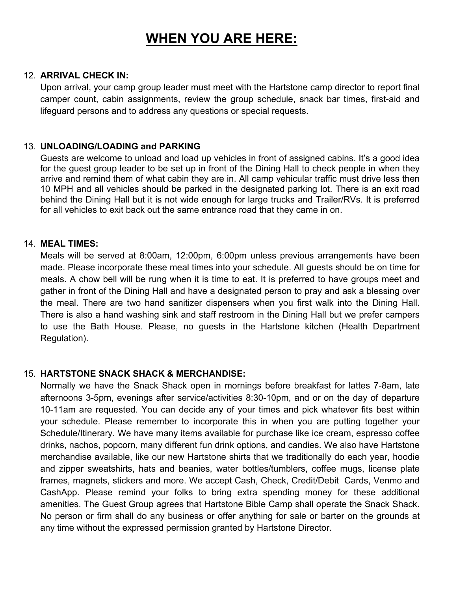# **WHEN YOU ARE HERE:**

#### 12. **ARRIVAL CHECK IN:**

Upon arrival, your camp group leader must meet with the Hartstone camp director to report final camper count, cabin assignments, review the group schedule, snack bar times, first-aid and lifeguard persons and to address any questions or special requests.

#### 13. **UNLOADING/LOADING and PARKING**

Guests are welcome to unload and load up vehicles in front of assigned cabins. It's a good idea for the guest group leader to be set up in front of the Dining Hall to check people in when they arrive and remind them of what cabin they are in. All camp vehicular traffic must drive less then 10 MPH and all vehicles should be parked in the designated parking lot. There is an exit road behind the Dining Hall but it is not wide enough for large trucks and Trailer/RVs. It is preferred for all vehicles to exit back out the same entrance road that they came in on.

#### 14. **MEAL TIMES:**

Meals will be served at 8:00am, 12:00pm, 6:00pm unless previous arrangements have been made. Please incorporate these meal times into your schedule. All guests should be on time for meals. A chow bell will be rung when it is time to eat. It is preferred to have groups meet and gather in front of the Dining Hall and have a designated person to pray and ask a blessing over the meal. There are two hand sanitizer dispensers when you first walk into the Dining Hall. There is also a hand washing sink and staff restroom in the Dining Hall but we prefer campers to use the Bath House. Please, no guests in the Hartstone kitchen (Health Department Regulation).

# 15. **HARTSTONE SNACK SHACK & MERCHANDISE:**

Normally we have the Snack Shack open in mornings before breakfast for lattes 7-8am, late afternoons 3-5pm, evenings after service/activities 8:30-10pm, and or on the day of departure 10-11am are requested. You can decide any of your times and pick whatever fits best within your schedule. Please remember to incorporate this in when you are putting together your Schedule/Itinerary. We have many items available for purchase like ice cream, espresso coffee drinks, nachos, popcorn, many different fun drink options, and candies. We also have Hartstone merchandise available, like our new Hartstone shirts that we traditionally do each year, hoodie and zipper sweatshirts, hats and beanies, water bottles/tumblers, coffee mugs, license plate frames, magnets, stickers and more. We accept Cash, Check, Credit/Debit Cards, Venmo and CashApp. Please remind your folks to bring extra spending money for these additional amenities. The Guest Group agrees that Hartstone Bible Camp shall operate the Snack Shack. No person or firm shall do any business or offer anything for sale or barter on the grounds at any time without the expressed permission granted by Hartstone Director.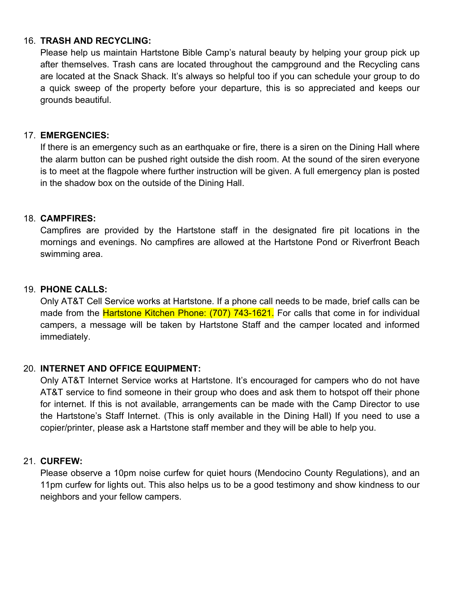#### 16. **TRASH AND RECYCLING:**

Please help us maintain Hartstone Bible Camp's natural beauty by helping your group pick up after themselves. Trash cans are located throughout the campground and the Recycling cans are located at the Snack Shack. It's always so helpful too if you can schedule your group to do a quick sweep of the property before your departure, this is so appreciated and keeps our grounds beautiful.

### 17. **EMERGENCIES:**

If there is an emergency such as an earthquake or fire, there is a siren on the Dining Hall where the alarm button can be pushed right outside the dish room. At the sound of the siren everyone is to meet at the flagpole where further instruction will be given. A full emergency plan is posted in the shadow box on the outside of the Dining Hall.

# 18. **CAMPFIRES:**

Campfires are provided by the Hartstone staff in the designated fire pit locations in the mornings and evenings. No campfires are allowed at the Hartstone Pond or Riverfront Beach swimming area.

# 19. **PHONE CALLS:**

Only AT&T Cell Service works at Hartstone. If a phone call needs to be made, brief calls can be made from the **Hartstone Kitchen Phone: (707) 743-1621.** For calls that come in for individual campers, a message will be taken by Hartstone Staff and the camper located and informed immediately.

# 20. **INTERNET AND OFFICE EQUIPMENT:**

Only AT&T Internet Service works at Hartstone. It's encouraged for campers who do not have AT&T service to find someone in their group who does and ask them to hotspot off their phone for internet. If this is not available, arrangements can be made with the Camp Director to use the Hartstone's Staff Internet. (This is only available in the Dining Hall) If you need to use a copier/printer, please ask a Hartstone staff member and they will be able to help you.

# 21. **CURFEW:**

Please observe a 10pm noise curfew for quiet hours (Mendocino County Regulations), and an 11pm curfew for lights out. This also helps us to be a good testimony and show kindness to our neighbors and your fellow campers.